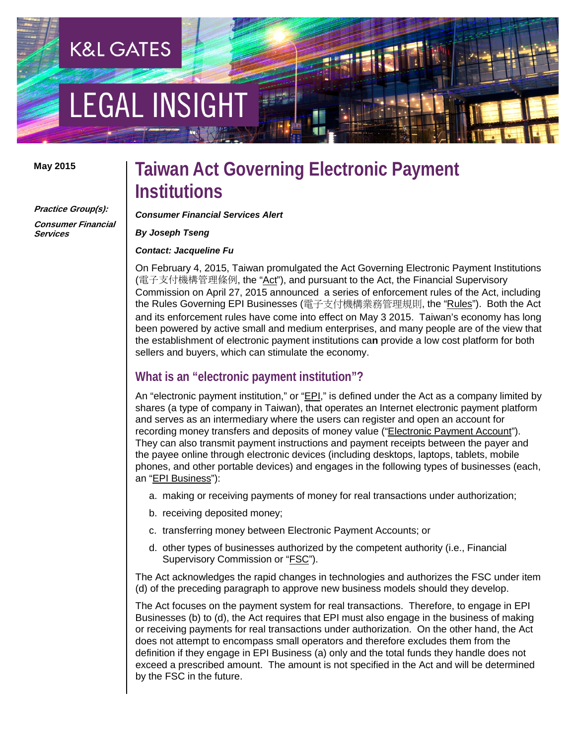# **EGAL INSIGHT**

**K&L GATES** 

#### **May 2015**

**Practice Group(s):**

**Consumer Financial Services**

### **Taiwan Act Governing Electronic Payment Institutions**

*Consumer Financial Services Alert*

*By Joseph Tseng*

*Contact: Jacqueline Fu*

On February 4, 2015, Taiwan promulgated the Act Governing Electronic Payment Institutions (電子支付機構管理條例, the "Act"), and pursuant to the Act, the Financial Supervisory Commission on April 27, 2015 announced a series of enforcement rules of the Act, including the Rules Governing EPI Businesses (電子支付機構業務管理規則, the "Rules"). Both the Act and its enforcement rules have come into effect on May 3 2015. Taiwan's economy has long been powered by active small and medium enterprises, and many people are of the view that the establishment of electronic payment institutions ca**n** provide a low cost platform for both sellers and buyers, which can stimulate the economy.

#### **What is an "electronic payment institution"?**

An "electronic payment institution," or "EPI," is defined under the Act as a company limited by shares (a type of company in Taiwan), that operates an Internet electronic payment platform and serves as an intermediary where the users can register and open an account for recording money transfers and deposits of money value ("Electronic Payment Account"). They can also transmit payment instructions and payment receipts between the payer and the payee online through electronic devices (including desktops, laptops, tablets, mobile phones, and other portable devices) and engages in the following types of businesses (each, an "EPI Business"):

- a. making or receiving payments of money for real transactions under authorization;
- b. receiving deposited money;
- c. transferring money between Electronic Payment Accounts; or
- d. other types of businesses authorized by the competent authority (i.e., Financial Supervisory Commission or "FSC").

The Act acknowledges the rapid changes in technologies and authorizes the FSC under item (d) of the preceding paragraph to approve new business models should they develop.

The Act focuses on the payment system for real transactions. Therefore, to engage in EPI Businesses (b) to (d), the Act requires that EPI must also engage in the business of making or receiving payments for real transactions under authorization. On the other hand, the Act does not attempt to encompass small operators and therefore excludes them from the definition if they engage in EPI Business (a) only and the total funds they handle does not exceed a prescribed amount. The amount is not specified in the Act and will be determined by the FSC in the future.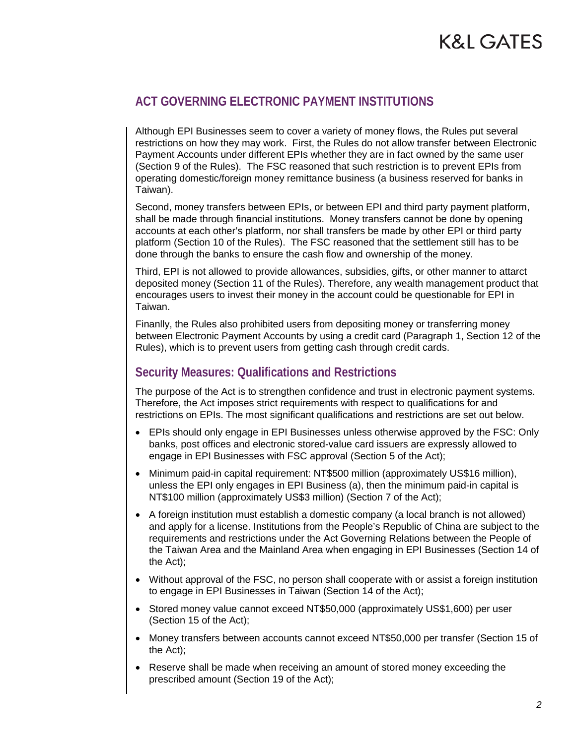# **K&L GATES**

### **ACT GOVERNING ELECTRONIC PAYMENT INSTITUTIONS**

Although EPI Businesses seem to cover a variety of money flows, the Rules put several restrictions on how they may work. First, the Rules do not allow transfer between Electronic Payment Accounts under different EPIs whether they are in fact owned by the same user (Section 9 of the Rules). The FSC reasoned that such restriction is to prevent EPIs from operating domestic/foreign money remittance business (a business reserved for banks in Taiwan).

Second, money transfers between EPIs, or between EPI and third party payment platform, shall be made through financial institutions. Money transfers cannot be done by opening accounts at each other's platform, nor shall transfers be made by other EPI or third party platform (Section 10 of the Rules). The FSC reasoned that the settlement still has to be done through the banks to ensure the cash flow and ownership of the money.

Third, EPI is not allowed to provide allowances, subsidies, gifts, or other manner to attarct deposited money (Section 11 of the Rules). Therefore, any wealth management product that encourages users to invest their money in the account could be questionable for EPI in Taiwan.

Finanlly, the Rules also prohibited users from depositing money or transferring money between Electronic Payment Accounts by using a credit card (Paragraph 1, Section 12 of the Rules), which is to prevent users from getting cash through credit cards.

#### **Security Measures: Qualifications and Restrictions**

The purpose of the Act is to strengthen confidence and trust in electronic payment systems. Therefore, the Act imposes strict requirements with respect to qualifications for and restrictions on EPIs. The most significant qualifications and restrictions are set out below.

- EPIs should only engage in EPI Businesses unless otherwise approved by the FSC: Only banks, post offices and electronic stored-value card issuers are expressly allowed to engage in EPI Businesses with FSC approval (Section 5 of the Act);
- Minimum paid-in capital requirement: NT\$500 million (approximately US\$16 million), unless the EPI only engages in EPI Business (a), then the minimum paid-in capital is NT\$100 million (approximately US\$3 million) (Section 7 of the Act);
- A foreign institution must establish a domestic company (a local branch is not allowed) and apply for a license. Institutions from the People's Republic of China are subject to the requirements and restrictions under the Act Governing Relations between the People of the Taiwan Area and the Mainland Area when engaging in EPI Businesses (Section 14 of the Act);
- Without approval of the FSC, no person shall cooperate with or assist a foreign institution to engage in EPI Businesses in Taiwan (Section 14 of the Act);
- Stored money value cannot exceed NT\$50,000 (approximately US\$1,600) per user (Section 15 of the Act);
- Money transfers between accounts cannot exceed NT\$50,000 per transfer (Section 15 of the Act);
- Reserve shall be made when receiving an amount of stored money exceeding the prescribed amount (Section 19 of the Act);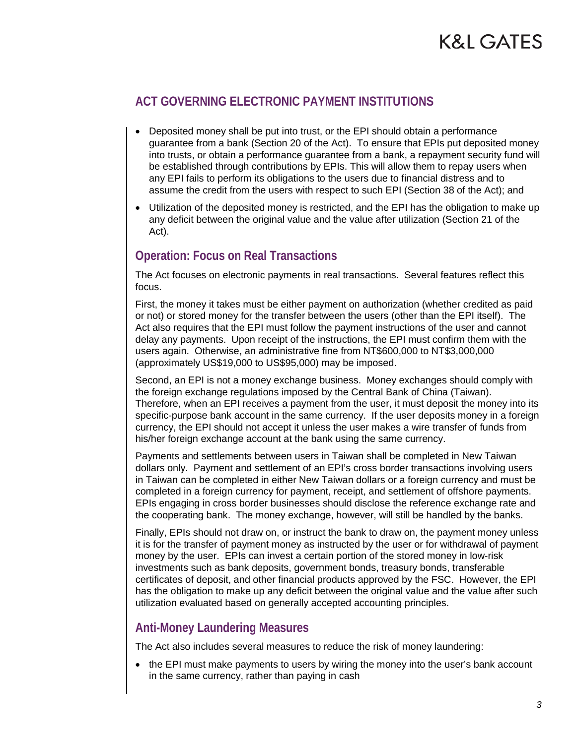# K&L GATES

### **ACT GOVERNING ELECTRONIC PAYMENT INSTITUTIONS**

- Deposited money shall be put into trust, or the EPI should obtain a performance guarantee from a bank (Section 20 of the Act). To ensure that EPIs put deposited money into trusts, or obtain a performance guarantee from a bank, a repayment security fund will be established through contributions by EPIs. This will allow them to repay users when any EPI fails to perform its obligations to the users due to financial distress and to assume the credit from the users with respect to such EPI (Section 38 of the Act); and
- Utilization of the deposited money is restricted, and the EPI has the obligation to make up any deficit between the original value and the value after utilization (Section 21 of the Act).

### **Operation: Focus on Real Transactions**

The Act focuses on electronic payments in real transactions. Several features reflect this focus.

First, the money it takes must be either payment on authorization (whether credited as paid or not) or stored money for the transfer between the users (other than the EPI itself). The Act also requires that the EPI must follow the payment instructions of the user and cannot delay any payments. Upon receipt of the instructions, the EPI must confirm them with the users again. Otherwise, an administrative fine from NT\$600,000 to NT\$3,000,000 (approximately US\$19,000 to US\$95,000) may be imposed.

Second, an EPI is not a money exchange business. Money exchanges should comply with the foreign exchange regulations imposed by the Central Bank of China (Taiwan). Therefore, when an EPI receives a payment from the user, it must deposit the money into its specific-purpose bank account in the same currency. If the user deposits money in a foreign currency, the EPI should not accept it unless the user makes a wire transfer of funds from his/her foreign exchange account at the bank using the same currency.

Payments and settlements between users in Taiwan shall be completed in New Taiwan dollars only. Payment and settlement of an EPI's cross border transactions involving users in Taiwan can be completed in either New Taiwan dollars or a foreign currency and must be completed in a foreign currency for payment, receipt, and settlement of offshore payments. EPIs engaging in cross border businesses should disclose the reference exchange rate and the cooperating bank. The money exchange, however, will still be handled by the banks.

Finally, EPIs should not draw on, or instruct the bank to draw on, the payment money unless it is for the transfer of payment money as instructed by the user or for withdrawal of payment money by the user. EPIs can invest a certain portion of the stored money in low-risk investments such as bank deposits, government bonds, treasury bonds, transferable certificates of deposit, and other financial products approved by the FSC. However, the EPI has the obligation to make up any deficit between the original value and the value after such utilization evaluated based on generally accepted accounting principles.

#### **Anti-Money Laundering Measures**

The Act also includes several measures to reduce the risk of money laundering:

• the EPI must make payments to users by wiring the money into the user's bank account in the same currency, rather than paying in cash